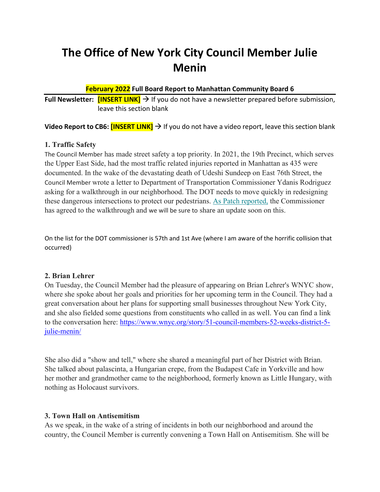# **The Office of New York City Council Member Julie Menin**

### **February 2022 Full Board Report to Manhattan Community Board 6**

**Full Newsletter:**  $\frac{[INSERT \text{ LINK}]}{=}$  If you do not have a newsletter prepared before submission, leave this section blank

**Video Report to CB6: <b>[INSERT LINK]** → If you do not have a video report, leave this section blank

### **1. Traffic Safety**

The Council Member has made street safety a top priority. In 2021, the 19th Precinct, which serves the Upper East Side, had the most traffic related injuries reported in Manhattan as 435 were documented. In the wake of the devastating death of Udeshi Sundeep on East 76th Street, the Council Member wrote a letter to Department of Transportation Commissioner Ydanis Rodriguez asking for a walkthrough in our neighborhood. The DOT needs to move quickly in redesigning these dangerous intersections to protect our pedestrians. [As Patch reported,](https://juliefornyc.us1.list-manage.com/track/click?u=b738d6898c853d0a6af7bc185&id=5ec971fd47&e=372e91f0c1) the Commissioner has agreed to the walkthrough and we will be sure to share an update soon on this.

On the list for the DOT commissioner is 57th and 1st Ave (where I am aware of the horrific collision that occurred)

## **2. Brian Lehrer**

On Tuesday, the Council Member had the pleasure of appearing on Brian Lehrer's WNYC show, where she spoke about her goals and priorities for her upcoming term in the Council. They had a great conversation about her plans for supporting small businesses throughout New York City, and she also fielded some questions from constituents who called in as well. You can find a link to the conversation here: [https://www.wnyc.org/story/51-council-members-52-weeks-district-5](https://www.wnyc.org/story/51-council-members-52-weeks-district-5-julie-menin/) [julie-menin/](https://www.wnyc.org/story/51-council-members-52-weeks-district-5-julie-menin/)

She also did a "show and tell," where she shared a meaningful part of her District with Brian. She talked about palascinta, a Hungarian crepe, from the Budapest Cafe in Yorkville and how her mother and grandmother came to the neighborhood, formerly known as Little Hungary, with nothing as Holocaust survivors.

## **3. Town Hall on Antisemitism**

As we speak, in the wake of a string of incidents in both our neighborhood and around the country, the Council Member is currently convening a Town Hall on Antisemitism. She will be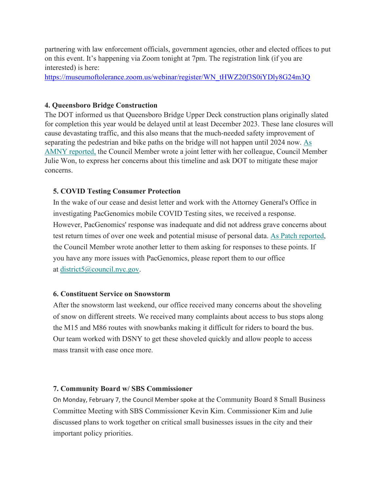partnering with law enforcement officials, government agencies, other and elected offices to put on this event. It's happening via Zoom tonight at 7pm. The registration link (if you are interested) is here:

[https://museumoftolerance.zoom.us/webinar/register/WN\\_tHWZ20f3S0iYDly8G24m3Q](https://museumoftolerance.zoom.us/webinar/register/WN_tHWZ20f3S0iYDly8G24m3Q)

#### **4. Queensboro Bridge Construction**

The DOT informed us that Queensboro Bridge Upper Deck construction plans originally slated for completion this year would be delayed until at least December 2023. These lane closures will cause devastating traffic, and this also means that the much-needed safety improvement of separating the pedestrian and bike paths on the bridge will not happen until 2024 now. [As](https://juliefornyc.us1.list-manage.com/track/click?u=b738d6898c853d0a6af7bc185&id=886c0db83e&e=372e91f0c1)  [AMNY reported,](https://juliefornyc.us1.list-manage.com/track/click?u=b738d6898c853d0a6af7bc185&id=886c0db83e&e=372e91f0c1) the Council Member wrote a joint letter with her colleague, Council Member Julie Won, to express her concerns about this timeline and ask DOT to mitigate these major concerns.

#### **5. COVID Testing Consumer Protection**

In the wake of our cease and desist letter and work with the Attorney General's Office in investigating PacGenomics mobile COVID Testing sites, we received a response. However, PacGenomics' response was inadequate and did not address grave concerns about test return times of over one week and potential misuse of personal data. [As Patch reported,](https://juliefornyc.us1.list-manage.com/track/click?u=b738d6898c853d0a6af7bc185&id=e0542bdb6c&e=372e91f0c1) the Council Member wrote another letter to them asking for responses to these points. If you have any more issues with PacGenomics, please report them to our office at [district5@council.nyc.gov.](mailto:district5@council.nyc.gov)

#### **6. Constituent Service on Snowstorm**

After the snowstorm last weekend, our office received many concerns about the shoveling of snow on different streets. We received many complaints about access to bus stops along the M15 and M86 routes with snowbanks making it difficult for riders to board the bus. Our team worked with DSNY to get these shoveled quickly and allow people to access mass transit with ease once more.

#### **7. Community Board w/ SBS Commissioner**

On Monday, February 7, the Council Member spoke at the Community Board 8 Small Business Committee Meeting with SBS Commissioner Kevin Kim. Commissioner Kim and Julie discussed plans to work together on critical small businesses issues in the city and their important policy priorities.